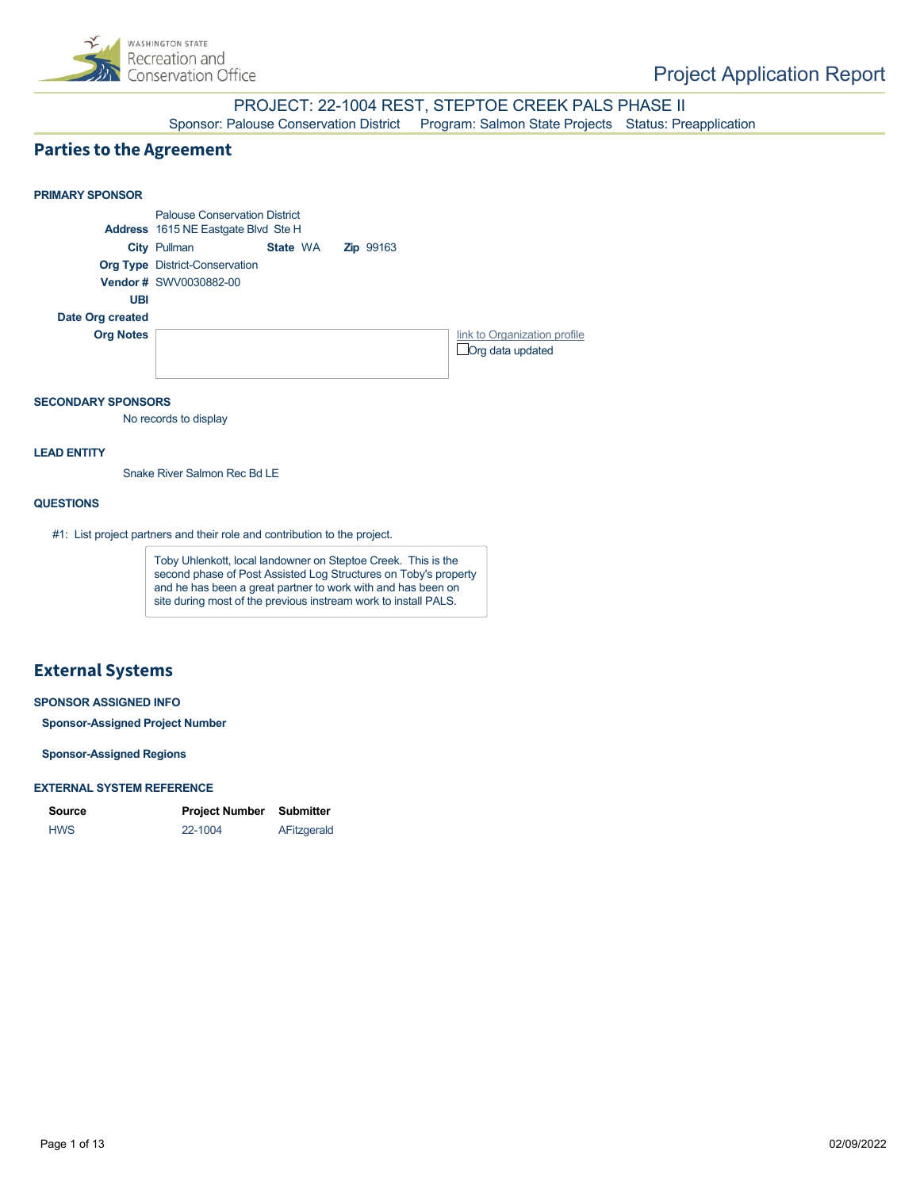

### PROJECT: 22-1004 REST, STEPTOE CREEK PALS PHASE II Sponsor: Palouse Conservation District Program: Salmon State Projects Status: Preapplication

### **Parties to the Agreement**



#### **SECONDARY SPONSORS**

No records to display

#### **LEAD ENTITY**

Snake River Salmon Rec Bd LE

#### **QUESTIONS**

#1: List project partners and their role and contribution to the project.

Toby Uhlenkott, local landowner on Steptoe Creek. This is the second phase of Post Assisted Log Structures on Toby's property and he has been a great partner to work with and has been on site during most of the previous instream work to install PALS.

### **External Systems**

### **SPONSOR ASSIGNED INFO**

**Sponsor-Assigned Project Number**

**Sponsor-Assigned Regions**

#### **EXTERNAL SYSTEM REFERENCE**

| Source     | <b>Project Number</b> | Submitter   |
|------------|-----------------------|-------------|
| <b>HWS</b> | 22-1004               | AFitzgerald |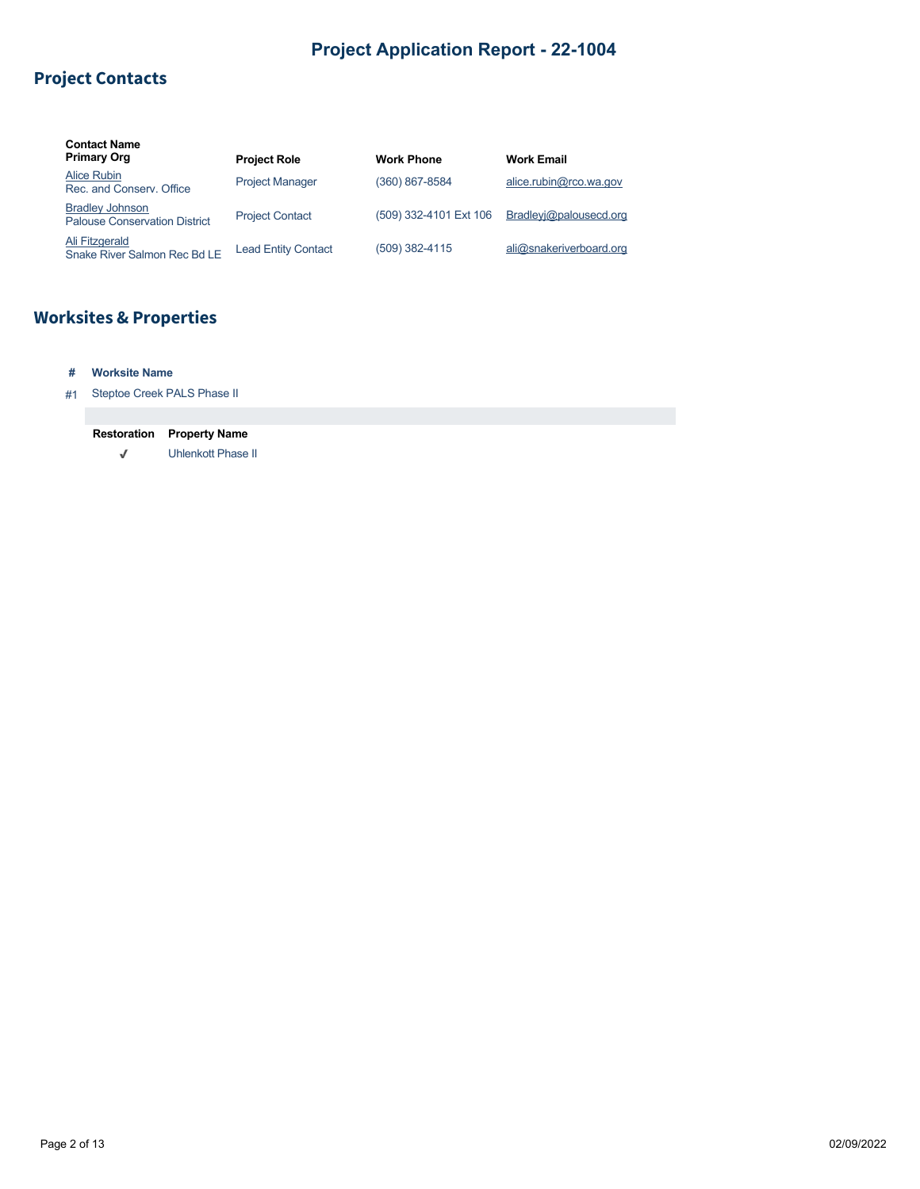## **Project Contacts**

| <b>Contact Name</b><br><b>Primary Org</b>                      | <b>Project Role</b>        | <b>Work Phone</b>      | <b>Work Email</b>       |
|----------------------------------------------------------------|----------------------------|------------------------|-------------------------|
| Alice Rubin<br>Rec. and Conserv. Office                        | <b>Project Manager</b>     | (360) 867-8584         | alice.rubin@rco.wa.gov  |
| <b>Bradley Johnson</b><br><b>Palouse Conservation District</b> | <b>Project Contact</b>     | (509) 332-4101 Ext 106 | Bradleyi@palousecd.org  |
| Ali Fitzgerald<br>Snake River Salmon Rec Bd LE                 | <b>Lead Entity Contact</b> | (509) 382-4115         | ali@snakeriverboard.org |

# **Worksites & Properties**

### **# Worksite Name**

#### #1 Steptoe Creek PALS Phase II

| <b>Restoration</b> | <b>Property Name</b>      |
|--------------------|---------------------------|
| J                  | <b>Uhlenkott Phase II</b> |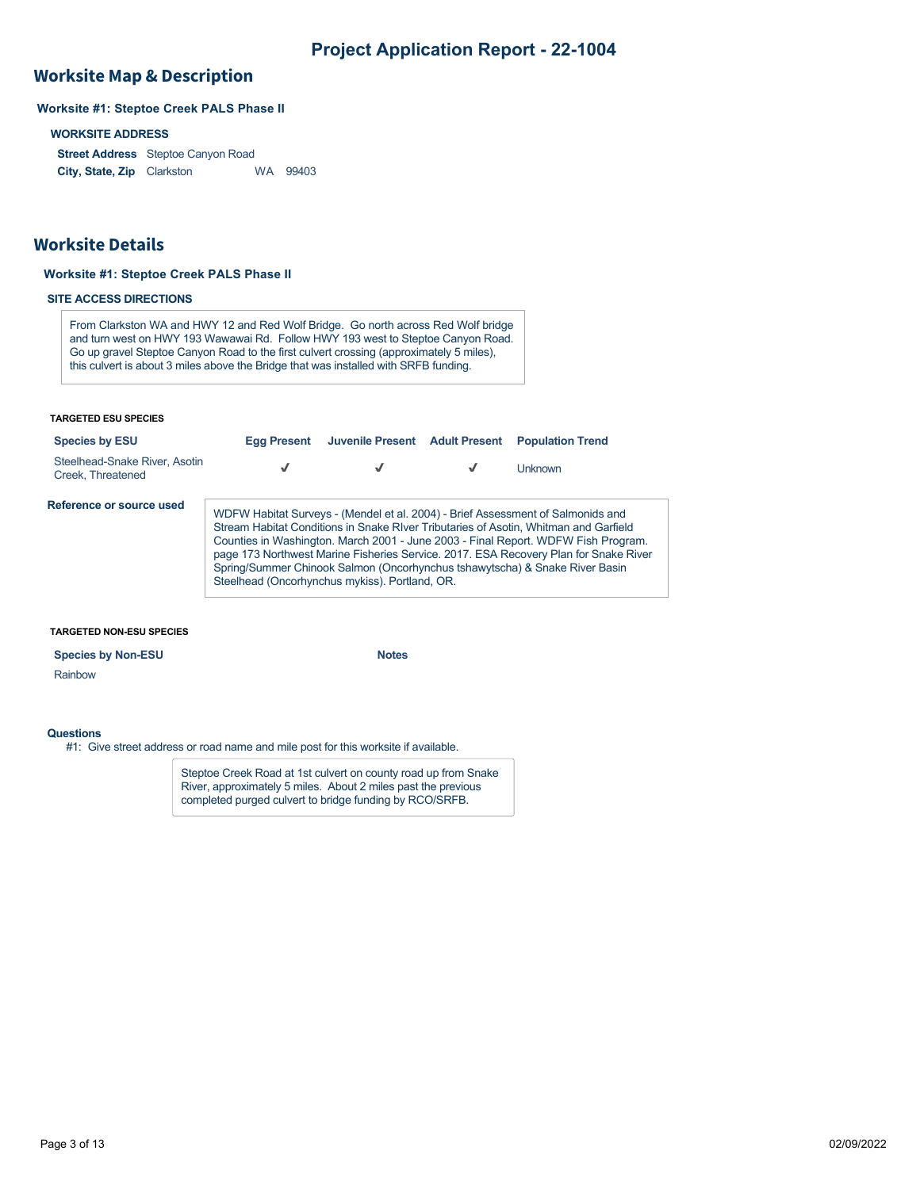### **Worksite Map & Description**

### **Worksite #1: Steptoe Creek PALS Phase II**

#### **WORKSITE ADDRESS**

**Street Address** Steptoe Canyon Road **City, State, Zip** WA 99403

### **Worksite Details**

#### **Worksite #1: Steptoe Creek PALS Phase II**

#### **SITE ACCESS DIRECTIONS**

From Clarkston WA and HWY 12 and Red Wolf Bridge. Go north across Red Wolf bridge and turn west on HWY 193 Wawawai Rd. Follow HWY 193 west to Steptoe Canyon Road. Go up gravel Steptoe Canyon Road to the first culvert crossing (approximately 5 miles), this culvert is about 3 miles above the Bridge that was installed with SRFB funding.

#### **TARGETED ESU SPECIES**

| <b>Species by ESU</b>                              | <b>Egg Present</b>                             | Juvenile Present Adult Present | <b>Population Trend</b>                                                                                                                                                                                                                                                                                                                                                                                                             |
|----------------------------------------------------|------------------------------------------------|--------------------------------|-------------------------------------------------------------------------------------------------------------------------------------------------------------------------------------------------------------------------------------------------------------------------------------------------------------------------------------------------------------------------------------------------------------------------------------|
| Steelhead-Snake River, Asotin<br>Creek. Threatened |                                                | √                              | <b>Unknown</b>                                                                                                                                                                                                                                                                                                                                                                                                                      |
| Reference or source used                           | Steelhead (Oncorhynchus mykiss). Portland, OR. |                                | WDFW Habitat Surveys - (Mendel et al. 2004) - Brief Assessment of Salmonids and<br>Stream Habitat Conditions in Snake RIver Tributaries of Asotin, Whitman and Garfield<br>Counties in Washington. March 2001 - June 2003 - Final Report. WDFW Fish Program.<br>page 173 Northwest Marine Fisheries Service. 2017. ESA Recovery Plan for Snake River<br>Spring/Summer Chinook Salmon (Oncorhynchus tshawytscha) & Snake River Basin |

#### **TARGETED NON-ESU SPECIES**

#### **Species by Non-ESU Notes**

#### **Questions**

Rainbow

#1: Give street address or road name and mile post for this worksite if available.

Steptoe Creek Road at 1st culvert on county road up from Snake River, approximately 5 miles. About 2 miles past the previous completed purged culvert to bridge funding by RCO/SRFB.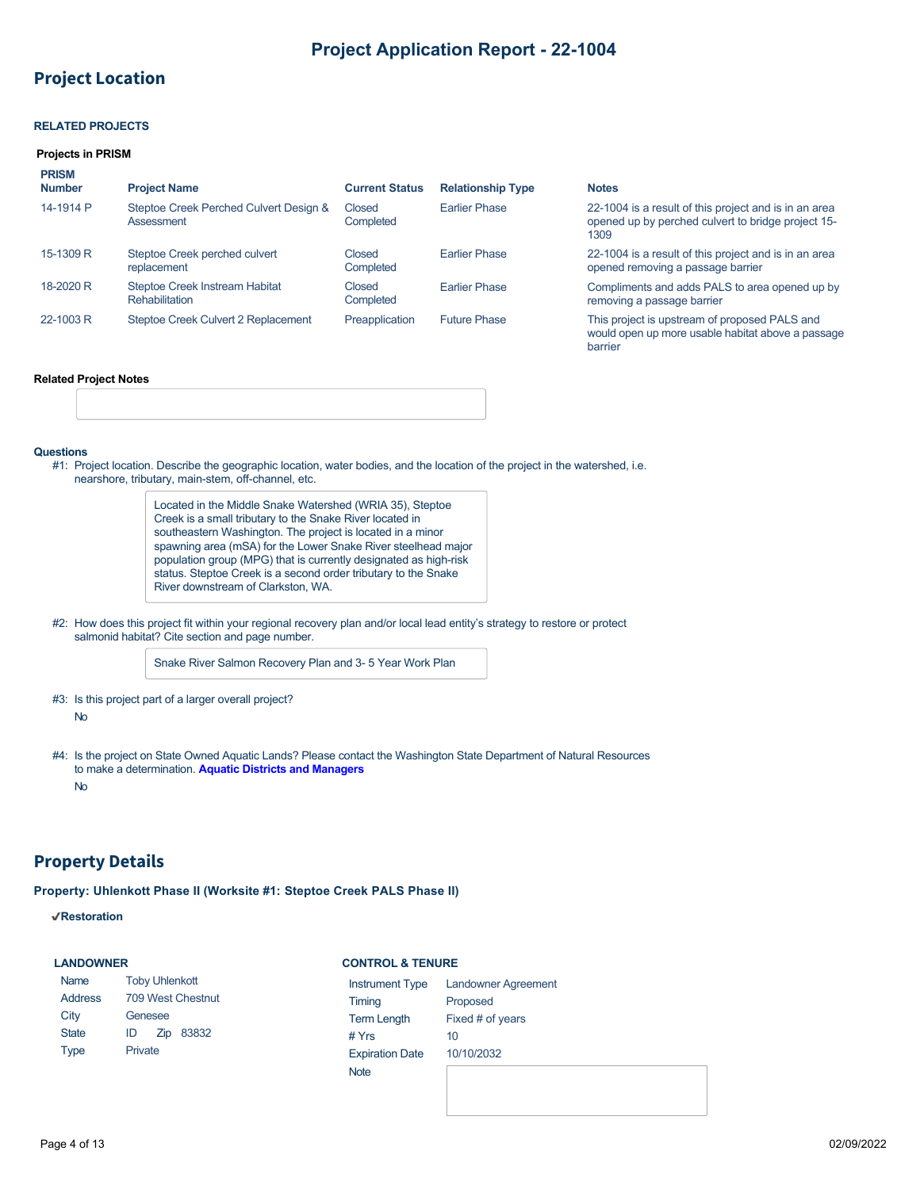## **Project Location**

#### **RELATED PROJECTS**

#### **Projects in PRISM**

| <b>PRISM</b><br><b>Number</b> | <b>Project Name</b>                                  | <b>Current Status</b> | <b>Relationship Type</b> | <b>Notes</b>                                                                                                        |
|-------------------------------|------------------------------------------------------|-----------------------|--------------------------|---------------------------------------------------------------------------------------------------------------------|
| 14-1914 P                     | Steptoe Creek Perched Culvert Design &<br>Assessment | Closed<br>Completed   | <b>Farlier Phase</b>     | 22-1004 is a result of this project and is in an area<br>opened up by perched culvert to bridge project 15-<br>1309 |
| 15-1309 R                     | Steptoe Creek perched culvert<br>replacement         | Closed<br>Completed   | <b>Farlier Phase</b>     | 22-1004 is a result of this project and is in an area<br>opened removing a passage barrier                          |
| 18-2020 R                     | Steptoe Creek Instream Habitat<br>Rehabilitation     | Closed<br>Completed   | <b>Farlier Phase</b>     | Compliments and adds PALS to area opened up by<br>removing a passage barrier                                        |
| 22-1003 R                     | Steptoe Creek Culvert 2 Replacement                  | Preapplication        | <b>Future Phase</b>      | This project is upstream of proposed PALS and<br>would open up more usable habitat above a passage<br>barrier       |

#### **Related Project Notes**

#### **Questions**

#1: Project location. Describe the geographic location, water bodies, and the location of the project in the watershed, i.e. nearshore, tributary, main-stem, off-channel, etc.

> Located in the Middle Snake Watershed (WRIA 35), Steptoe Creek is a small tributary to the Snake River located in southeastern Washington. The project is located in a minor spawning area (mSA) for the Lower Snake River steelhead major population group (MPG) that is currently designated as high-risk status. Steptoe Creek is a second order tributary to the Snake River downstream of Clarkston, WA.

#2: How does this project fit within your regional recovery plan and/or local lead entity's strategy to restore or protect salmonid habitat? Cite section and page number.

Snake River Salmon Recovery Plan and 3- 5 Year Work Plan

- #3: Is this project part of a larger overall project? No
- #4: Is the project on State Owned Aquatic Lands? Please contact the Washington State Department of Natural Resources to make a determination. **[Aquatic Districts and Managers](https://www.dnr.wa.gov/programs-and-services/aquatics/aquatic-districts-and-land-managers-map)** No

### **Property Details**

**Property: Uhlenkott Phase II (Worksite #1: Steptoe Creek PALS Phase II)**

#### **Restoration**

#### **LANDOWNER**

#### **CONTROL & TENURE**

| Name           | <b>Toby Uhlenkott</b> | Instrument Type        | <b>Landowner Agreement</b> |
|----------------|-----------------------|------------------------|----------------------------|
| <b>Address</b> | 709 West Chestnut     | Timing                 | Proposed                   |
| City           | Genesee               | <b>Term Length</b>     | Fixed # of years           |
| <b>State</b>   | 83832<br>Zip<br>ID    | # $Yrs$                | 10                         |
| <b>Type</b>    | Private               | <b>Expiration Date</b> | 10/10/2032                 |
|                |                       | <b>Note</b>            |                            |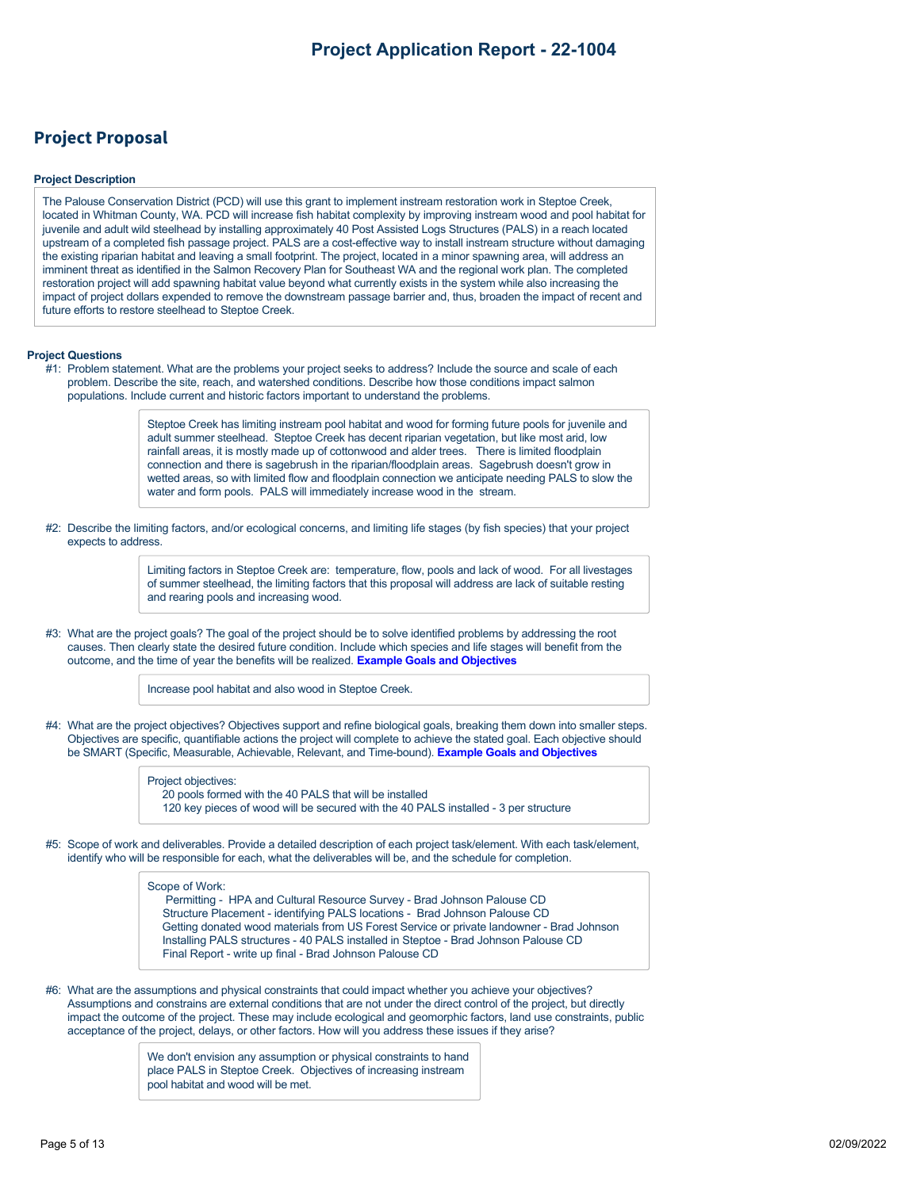## **Project Proposal**

#### **Project Description**

The Palouse Conservation District (PCD) will use this grant to implement instream restoration work in Steptoe Creek, located in Whitman County, WA. PCD will increase fish habitat complexity by improving instream wood and pool habitat for juvenile and adult wild steelhead by installing approximately 40 Post Assisted Logs Structures (PALS) in a reach located upstream of a completed fish passage project. PALS are a cost-effective way to install instream structure without damaging the existing riparian habitat and leaving a small footprint. The project, located in a minor spawning area, will address an imminent threat as identified in the Salmon Recovery Plan for Southeast WA and the regional work plan. The completed restoration project will add spawning habitat value beyond what currently exists in the system while also increasing the impact of project dollars expended to remove the downstream passage barrier and, thus, broaden the impact of recent and future efforts to restore steelhead to Steptoe Creek.

#### **Project Questions**

#1: Problem statement. What are the problems your project seeks to address? Include the source and scale of each problem. Describe the site, reach, and watershed conditions. Describe how those conditions impact salmon populations. Include current and historic factors important to understand the problems.

> Steptoe Creek has limiting instream pool habitat and wood for forming future pools for juvenile and adult summer steelhead. Steptoe Creek has decent riparian vegetation, but like most arid, low rainfall areas, it is mostly made up of cottonwood and alder trees. There is limited floodplain connection and there is sagebrush in the riparian/floodplain areas. Sagebrush doesn't grow in wetted areas, so with limited flow and floodplain connection we anticipate needing PALS to slow the water and form pools. PALS will immediately increase wood in the stream.

#2: Describe the limiting factors, and/or ecological concerns, and limiting life stages (by fish species) that your project expects to address.

> Limiting factors in Steptoe Creek are: temperature, flow, pools and lack of wood. For all livestages of summer steelhead, the limiting factors that this proposal will address are lack of suitable resting and rearing pools and increasing wood.

#3: What are the project goals? The goal of the project should be to solve identified problems by addressing the root causes. Then clearly state the desired future condition. Include which species and life stages will benefit from the outcome, and the time of year the benefits will be realized. **[Example Goals and Objectives](https://rco.wa.gov/wp-content/uploads/2020/02/SRFB-Goals-and-Objectives-Examples.docx)**

Increase pool habitat and also wood in Steptoe Creek.

#4: What are the project objectives? Objectives support and refine biological goals, breaking them down into smaller steps. Objectives are specific, quantifiable actions the project will complete to achieve the stated goal. Each objective should be SMART (Specific, Measurable, Achievable, Relevant, and Time-bound). **[Example Goals and Objectives](https://rco.wa.gov/wp-content/uploads/2020/02/SRFB-Goals-and-Objectives-Examples.docx)**

> Project objectives: 20 pools formed with the 40 PALS that will be installed 120 key pieces of wood will be secured with the 40 PALS installed - 3 per structure

#5: Scope of work and deliverables. Provide a detailed description of each project task/element. With each task/element, identify who will be responsible for each, what the deliverables will be, and the schedule for completion.

#### Scope of Work:

 Permitting - HPA and Cultural Resource Survey - Brad Johnson Palouse CD Structure Placement - identifying PALS locations - Brad Johnson Palouse CD Getting donated wood materials from US Forest Service or private landowner - Brad Johnson Installing PALS structures - 40 PALS installed in Steptoe - Brad Johnson Palouse CD Final Report - write up final - Brad Johnson Palouse CD

#6: What are the assumptions and physical constraints that could impact whether you achieve your objectives? Assumptions and constrains are external conditions that are not under the direct control of the project, but directly impact the outcome of the project. These may include ecological and geomorphic factors, land use constraints, public acceptance of the project, delays, or other factors. How will you address these issues if they arise?

> We don't envision any assumption or physical constraints to hand place PALS in Steptoe Creek. Objectives of increasing instream pool habitat and wood will be met.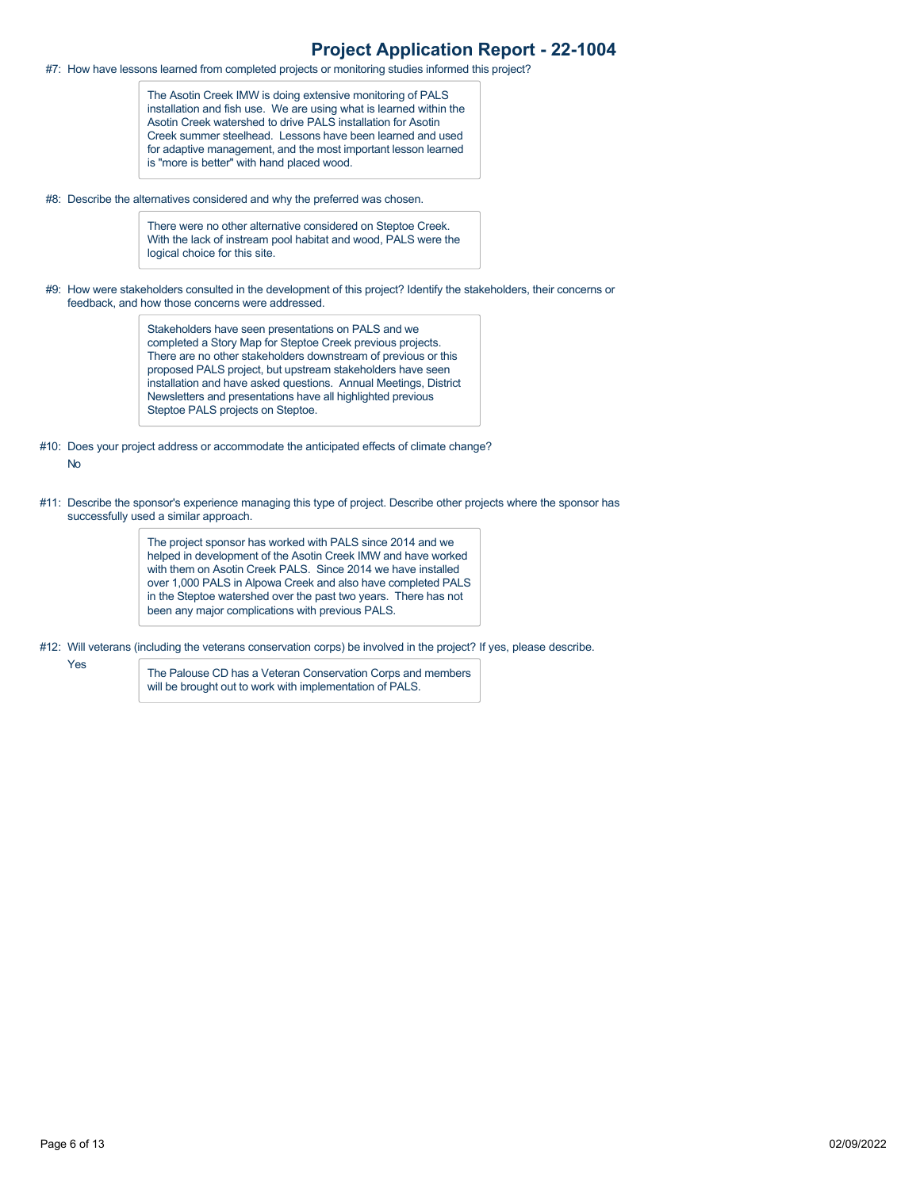#7: How have lessons learned from completed projects or monitoring studies informed this project?

The Asotin Creek IMW is doing extensive monitoring of PALS installation and fish use. We are using what is learned within the Asotin Creek watershed to drive PALS installation for Asotin Creek summer steelhead. Lessons have been learned and used for adaptive management, and the most important lesson learned is "more is better" with hand placed wood.

#8: Describe the alternatives considered and why the preferred was chosen.

There were no other alternative considered on Steptoe Creek. With the lack of instream pool habitat and wood, PALS were the logical choice for this site.

#9: How were stakeholders consulted in the development of this project? Identify the stakeholders, their concerns or feedback, and how those concerns were addressed.

> Stakeholders have seen presentations on PALS and we completed a Story Map for Steptoe Creek previous projects. There are no other stakeholders downstream of previous or this proposed PALS project, but upstream stakeholders have seen installation and have asked questions. Annual Meetings, District Newsletters and presentations have all highlighted previous Steptoe PALS projects on Steptoe.

- #10: Does your project address or accommodate the anticipated effects of climate change? No
- #11: Describe the sponsor's experience managing this type of project. Describe other projects where the sponsor has successfully used a similar approach.

The project sponsor has worked with PALS since 2014 and we helped in development of the Asotin Creek IMW and have worked with them on Asotin Creek PALS. Since 2014 we have installed over 1,000 PALS in Alpowa Creek and also have completed PALS in the Steptoe watershed over the past two years. There has not been any major complications with previous PALS.

- #12: Will veterans (including the veterans conservation corps) be involved in the project? If yes, please describe.
	- Yes

The Palouse CD has a Veteran Conservation Corps and members will be brought out to work with implementation of PALS.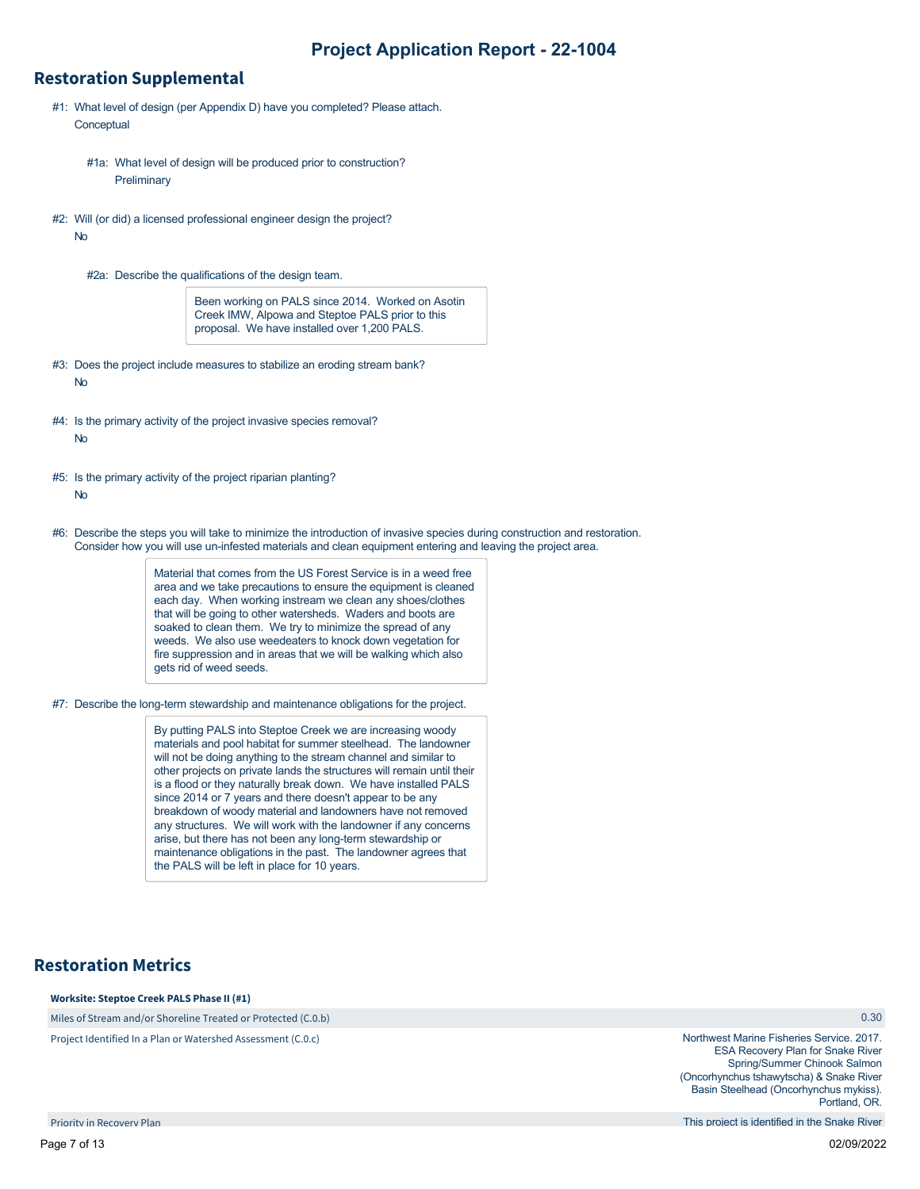### **Restoration Supplemental**

- #1: What level of design (per Appendix D) have you completed? Please attach. **Conceptual** 
	- #1a: What level of design will be produced prior to construction? **Preliminary**
- #2: Will (or did) a licensed professional engineer design the project? No
	- #2a: Describe the qualifications of the design team.

Been working on PALS since 2014. Worked on Asotin Creek IMW, Alpowa and Steptoe PALS prior to this proposal. We have installed over 1,200 PALS.

- #3: Does the project include measures to stabilize an eroding stream bank? No
- #4: Is the primary activity of the project invasive species removal? No
- #5: Is the primary activity of the project riparian planting? No
- #6: Describe the steps you will take to minimize the introduction of invasive species during construction and restoration. Consider how you will use un-infested materials and clean equipment entering and leaving the project area.

Material that comes from the US Forest Service is in a weed free area and we take precautions to ensure the equipment is cleaned each day. When working instream we clean any shoes/clothes that will be going to other watersheds. Waders and boots are soaked to clean them. We try to minimize the spread of any weeds. We also use weedeaters to knock down vegetation for fire suppression and in areas that we will be walking which also gets rid of weed seeds.

#7: Describe the long-term stewardship and maintenance obligations for the project.

By putting PALS into Steptoe Creek we are increasing woody materials and pool habitat for summer steelhead. The landowner will not be doing anything to the stream channel and similar to other projects on private lands the structures will remain until their is a flood or they naturally break down. We have installed PALS since 2014 or 7 years and there doesn't appear to be any breakdown of woody material and landowners have not removed any structures. We will work with the landowner if any concerns arise, but there has not been any long-term stewardship or maintenance obligations in the past. The landowner agrees that the PALS will be left in place for 10 years.

### **Restoration Metrics**

#### **Worksite: Steptoe Creek PALS Phase II (#1)**

Miles of Stream and/or Shoreline Treated or Protected (C.0.b)

Project Identified In a Plan or Watershed Assessment (C.0.c)

0.30

Northwest Marine Fisheries Service. 2017. ESA Recovery Plan for Snake River Spring/Summer Chinook Salmon (Oncorhynchus tshawytscha) & Snake River Basin Steelhead (Oncorhynchus mykiss). Portland, OR.

This project is identified in the Snake River

Priority in Recovery Plan

Page 7 of 13 02/09/2022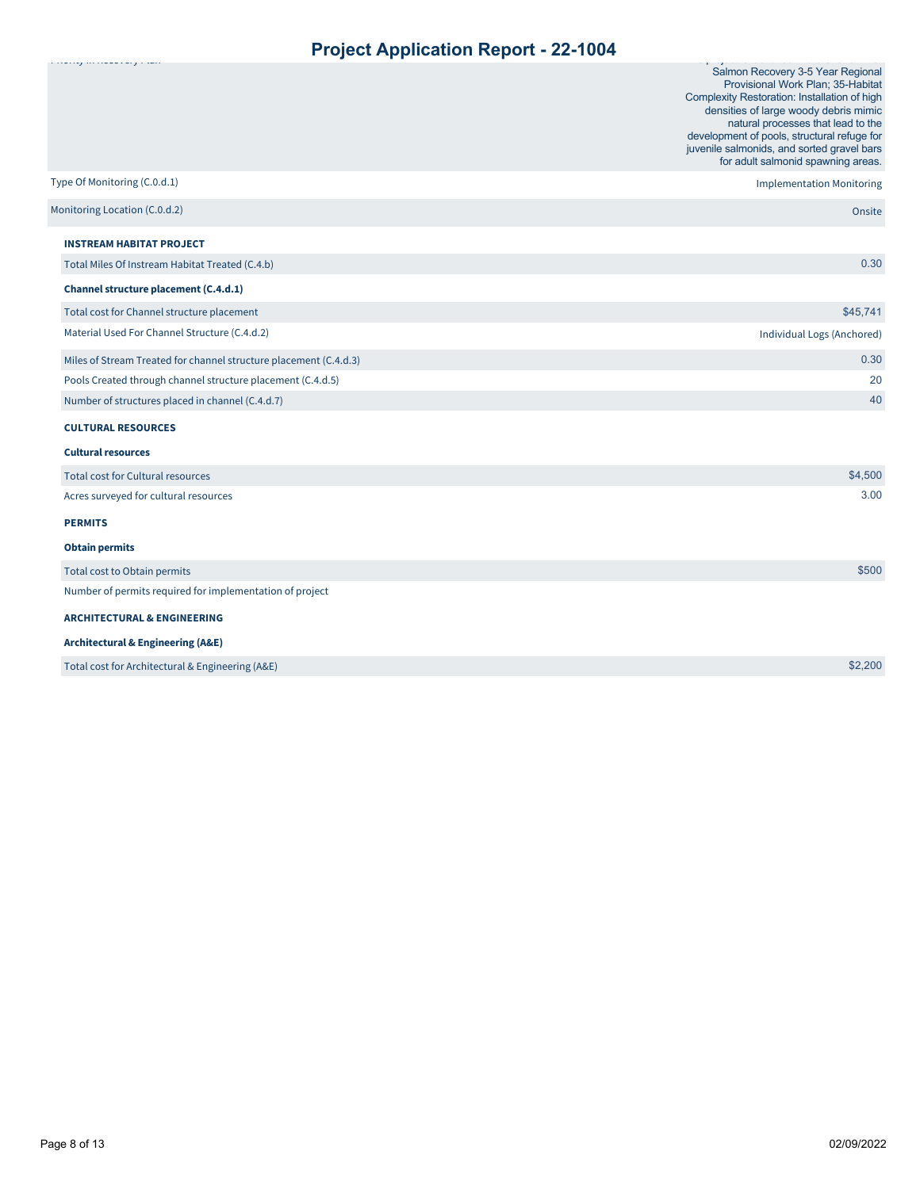|                                                                   | Salmon Recovery 3-5 Year Regional<br>Provisional Work Plan; 35-Habitat<br>Complexity Restoration: Installation of high<br>densities of large woody debris mimic<br>natural processes that lead to the<br>development of pools, structural refuge for<br>juvenile salmonids, and sorted gravel bars<br>for adult salmonid spawning areas. |
|-------------------------------------------------------------------|------------------------------------------------------------------------------------------------------------------------------------------------------------------------------------------------------------------------------------------------------------------------------------------------------------------------------------------|
| Type Of Monitoring (C.0.d.1)                                      | <b>Implementation Monitoring</b>                                                                                                                                                                                                                                                                                                         |
| Monitoring Location (C.0.d.2)                                     | Onsite                                                                                                                                                                                                                                                                                                                                   |
| <b>INSTREAM HABITAT PROJECT</b>                                   |                                                                                                                                                                                                                                                                                                                                          |
| Total Miles Of Instream Habitat Treated (C.4.b)                   | 0.30                                                                                                                                                                                                                                                                                                                                     |
| Channel structure placement (C.4.d.1)                             |                                                                                                                                                                                                                                                                                                                                          |
| Total cost for Channel structure placement                        | \$45,741                                                                                                                                                                                                                                                                                                                                 |
| Material Used For Channel Structure (C.4.d.2)                     | Individual Logs (Anchored)                                                                                                                                                                                                                                                                                                               |
| Miles of Stream Treated for channel structure placement (C.4.d.3) | 0.30                                                                                                                                                                                                                                                                                                                                     |
| Pools Created through channel structure placement (C.4.d.5)       | 20                                                                                                                                                                                                                                                                                                                                       |
| Number of structures placed in channel (C.4.d.7)                  | 40                                                                                                                                                                                                                                                                                                                                       |
| <b>CULTURAL RESOURCES</b>                                         |                                                                                                                                                                                                                                                                                                                                          |
| <b>Cultural resources</b>                                         |                                                                                                                                                                                                                                                                                                                                          |
| <b>Total cost for Cultural resources</b>                          | \$4,500                                                                                                                                                                                                                                                                                                                                  |
| Acres surveyed for cultural resources                             | 3.00                                                                                                                                                                                                                                                                                                                                     |
| <b>PERMITS</b>                                                    |                                                                                                                                                                                                                                                                                                                                          |
| <b>Obtain permits</b>                                             |                                                                                                                                                                                                                                                                                                                                          |
| Total cost to Obtain permits                                      | \$500                                                                                                                                                                                                                                                                                                                                    |
| Number of permits required for implementation of project          |                                                                                                                                                                                                                                                                                                                                          |
| <b>ARCHITECTURAL &amp; ENGINEERING</b>                            |                                                                                                                                                                                                                                                                                                                                          |
| <b>Architectural &amp; Engineering (A&amp;E)</b>                  |                                                                                                                                                                                                                                                                                                                                          |
| Total cost for Architectural & Engineering (A&E)                  | \$2,200                                                                                                                                                                                                                                                                                                                                  |
|                                                                   |                                                                                                                                                                                                                                                                                                                                          |

Priority in Recovery Plan

This project is identified in the Snake River River and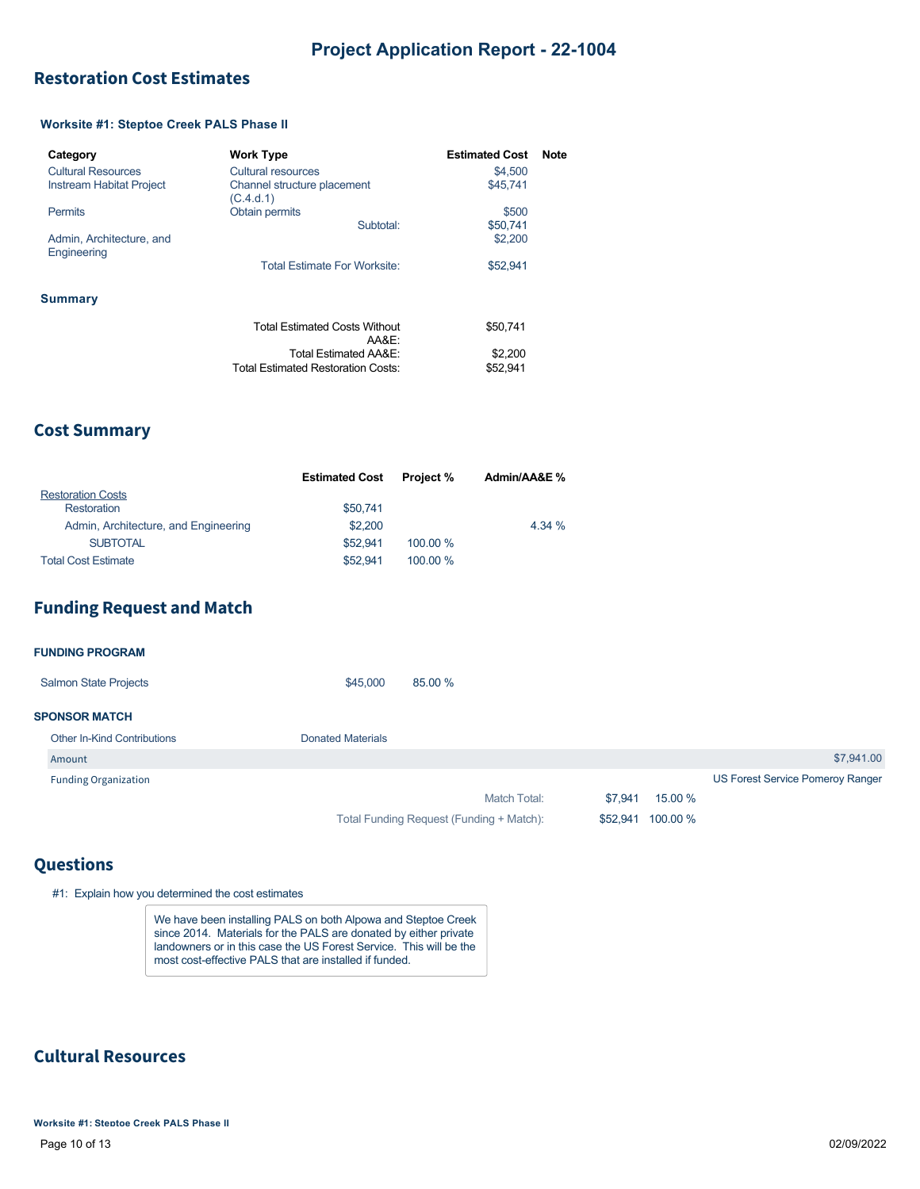## <span id="page-8-0"></span>**Restoration Cost Estimates**

### **Worksite #1: Steptoe Creek PALS Phase II**

| Category                                | <b>Work Type</b>                              | <b>Estimated Cost</b> | <b>Note</b> |
|-----------------------------------------|-----------------------------------------------|-----------------------|-------------|
| <b>Cultural Resources</b>               | Cultural resources                            | \$4,500               |             |
| Instream Habitat Project                | Channel structure placement<br>(C.4.d.1)      | \$45.741              |             |
| <b>Permits</b>                          | <b>Obtain permits</b>                         | \$500                 |             |
|                                         | Subtotal:                                     | \$50.741              |             |
| Admin, Architecture, and<br>Engineering |                                               | \$2,200               |             |
|                                         | Total Estimate For Worksite:                  | \$52.941              |             |
| <b>Summary</b>                          |                                               |                       |             |
|                                         | <b>Total Estimated Costs Without</b><br>AA&E: | \$50.741              |             |
|                                         | Total Estimated AA&E:                         | \$2,200               |             |
|                                         | <b>Total Estimated Restoration Costs:</b>     | \$52.941              |             |

### **Cost Summary**

|                                      | <b>Estimated Cost</b> | <b>Project %</b> | Admin/AA&E % |
|--------------------------------------|-----------------------|------------------|--------------|
| <b>Restoration Costs</b>             |                       |                  |              |
| Restoration                          | \$50.741              |                  |              |
| Admin, Architecture, and Engineering | \$2,200               |                  | 4.34 %       |
| <b>SUBTOTAL</b>                      | \$52.941              | 100.00 %         |              |
| <b>Total Cost Estimate</b>           | \$52.941              | 100.00 %         |              |

## **Funding Request and Match**

| <b>FUNDING PROGRAM</b>             |                          |                                          |          |          |                                  |
|------------------------------------|--------------------------|------------------------------------------|----------|----------|----------------------------------|
| <b>Salmon State Projects</b>       | \$45,000                 | 85.00 %                                  |          |          |                                  |
| <b>SPONSOR MATCH</b>               |                          |                                          |          |          |                                  |
| <b>Other In-Kind Contributions</b> | <b>Donated Materials</b> |                                          |          |          |                                  |
| Amount                             |                          |                                          |          |          | \$7,941.00                       |
| <b>Funding Organization</b>        |                          |                                          |          |          | US Forest Service Pomeroy Ranger |
|                                    |                          | Match Total:                             | \$7,941  | 15.00 %  |                                  |
|                                    |                          | Total Funding Request (Funding + Match): | \$52,941 | 100.00 % |                                  |

### **Questions**

#1: Explain how you determined the cost estimates

We have been installing PALS on both Alpowa and Steptoe Creek since 2014. Materials for the PALS are donated by either private landowners or in this case the US Forest Service. This will be the most cost-effective PALS that are installed if funded.

## **Cultural Resources**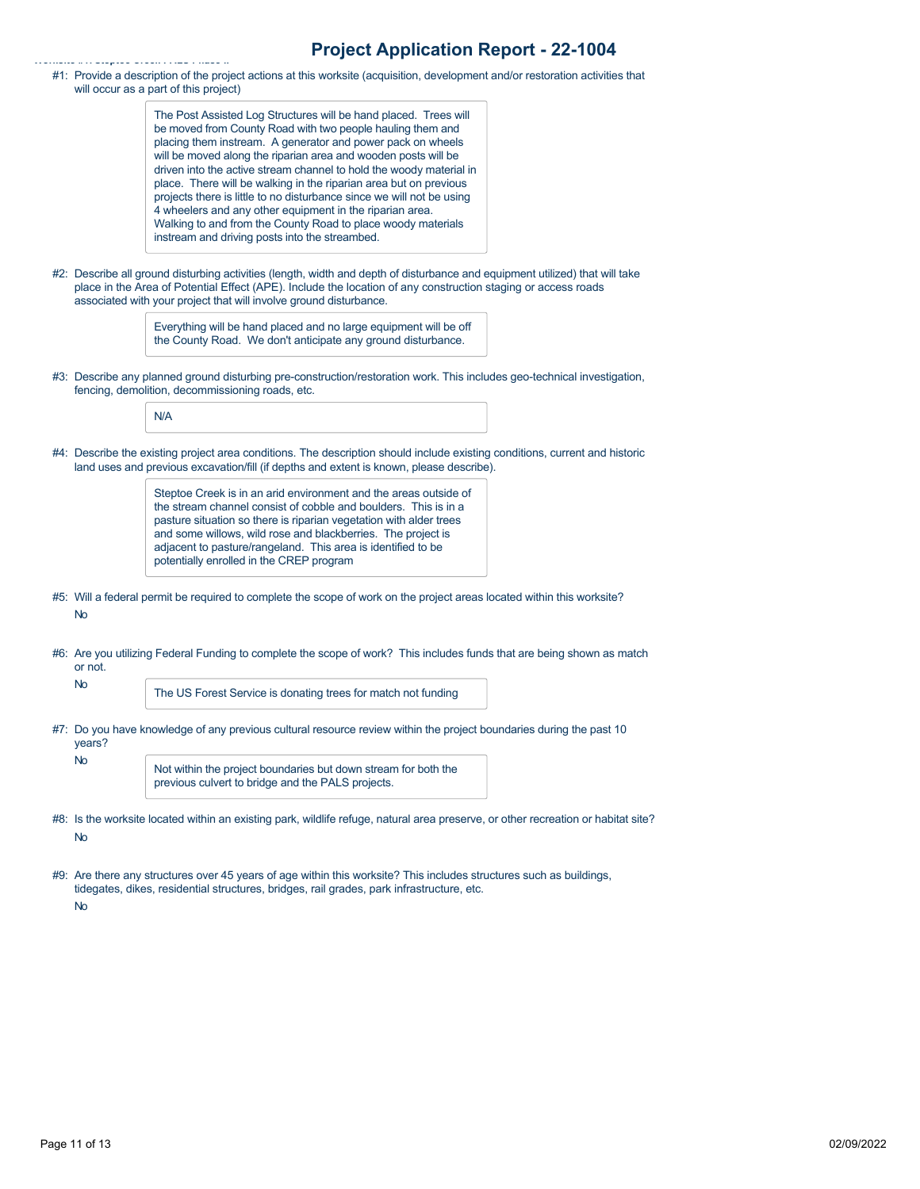#1: Provide a description of the project actions at this worksite (acquisition, development and/or restoration activities that will occur as a part of this project)

> The Post Assisted Log Structures will be hand placed. Trees will be moved from County Road with two people hauling them and placing them instream. A generator and power pack on wheels will be moved along the riparian area and wooden posts will be driven into the active stream channel to hold the woody material in place. There will be walking in the riparian area but on previous projects there is little to no disturbance since we will not be using 4 wheelers and any other equipment in the riparian area. Walking to and from the County Road to place woody materials instream and driving posts into the streambed.

#2: Describe all ground disturbing activities (length, width and depth of disturbance and equipment utilized) that will take place in the Area of Potential Effect (APE). Include the location of any construction staging or access roads associated with your project that will involve ground disturbance.

> Everything will be hand placed and no large equipment will be off the County Road. We don't anticipate any ground disturbance.

#3: Describe any planned ground disturbing pre-construction/restoration work. This includes geo-technical investigation, fencing, demolition, decommissioning roads, etc.

N/A

**Worksite #1: Steptoe Creek PALS Phase II**

#4: Describe the existing project area conditions. The description should include existing conditions, current and historic land uses and previous excavation/fill (if depths and extent is known, please describe).

> Steptoe Creek is in an arid environment and the areas outside of the stream channel consist of cobble and boulders. This is in a pasture situation so there is riparian vegetation with alder trees and some willows, wild rose and blackberries. The project is adjacent to pasture/rangeland. This area is identified to be potentially enrolled in the CREP program

- #5: Will a federal permit be required to complete the scope of work on the project areas located within this worksite? No
- #6: Are you utilizing Federal Funding to complete the scope of work? This includes funds that are being shown as match or not.

The US Forest Service is donating trees for match not funding

#7: Do you have knowledge of any previous cultural resource review within the project boundaries during the past 10 years? No Not within the project boundaries but down stream for both the

previous culvert to bridge and the PALS projects.

- #8: Is the worksite located within an existing park, wildlife refuge, natural area preserve, or other recreation or habitat site? No
- #9: Are there any structures over 45 years of age within this worksite? This includes structures such as buildings, tidegates, dikes, residential structures, bridges, rail grades, park infrastructure, etc.

No

No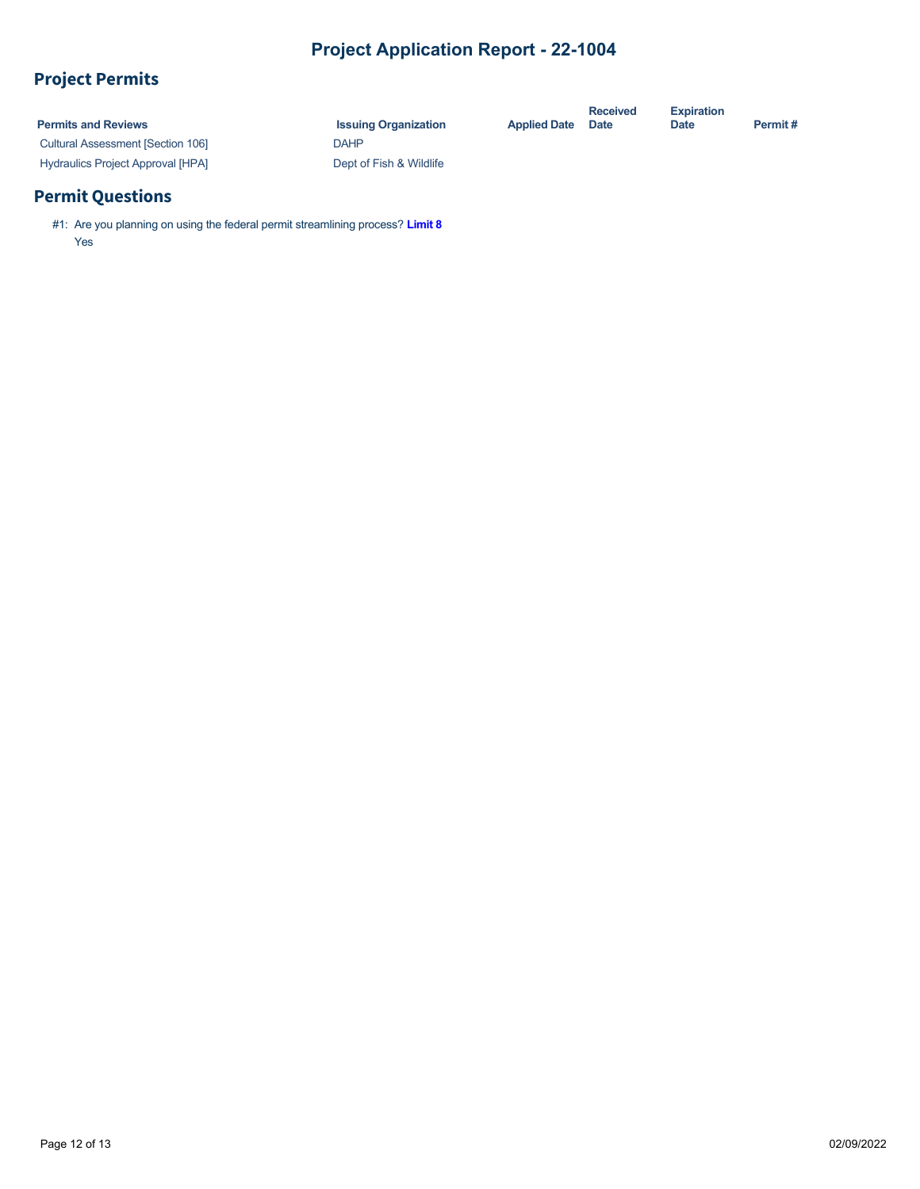# **Project Permits**

| <b>Permits and Reviews</b>               | <b>Issuing Organization</b> | <b>Applied Date</b> | <b>Received</b><br><b>Date</b> | <b>Expiration</b><br><b>Date</b> | Permit# |
|------------------------------------------|-----------------------------|---------------------|--------------------------------|----------------------------------|---------|
| <b>Cultural Assessment [Section 106]</b> | DAHP                        |                     |                                |                                  |         |
| <b>Hydraulics Project Approval [HPA]</b> | Dept of Fish & Wildlife     |                     |                                |                                  |         |

## **Permit Questions**

#1: Are you planning on using the federal permit streamlining process? **[Limit 8](https://rco.wa.gov/wp-content/uploads/2019/10/SAL-PermitStreamFactSheet.pdf)** Yes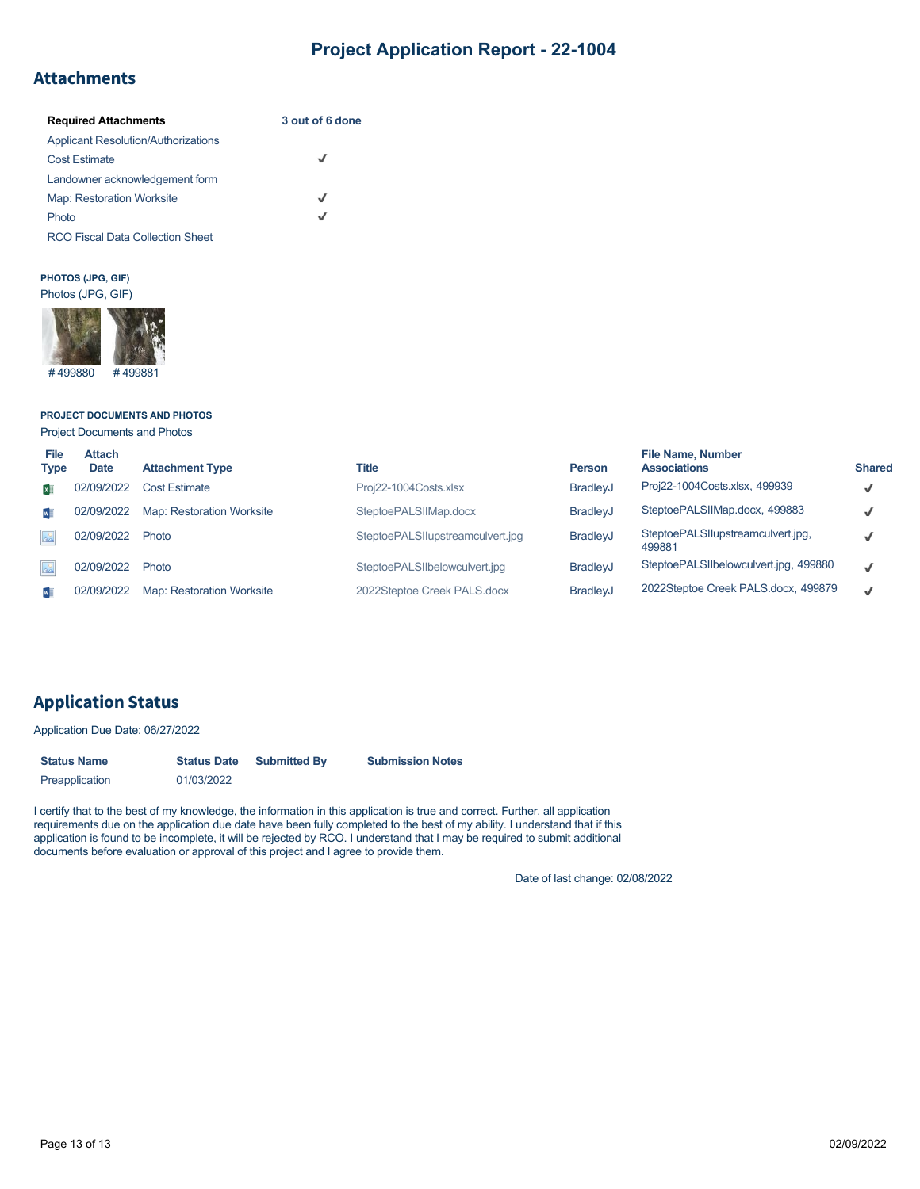## **Attachments**

| <b>Required Attachments</b>                | 3 out of 6 done |
|--------------------------------------------|-----------------|
| <b>Applicant Resolution/Authorizations</b> |                 |
| <b>Cost Estimate</b>                       | √               |
| Landowner acknowledgement form             |                 |
| <b>Map: Restoration Worksite</b>           | J               |
| Photo                                      | J               |
| <b>RCO Fiscal Data Collection Sheet</b>    |                 |

#### **PHOTOS (JPG, GIF)** Photos (JPG, GIF)



### **PROJECT DOCUMENTS AND PHOTOS**

Project Documents and Photos

| <b>File</b><br><b>Type</b> | <b>Attach</b><br><b>Date</b> | <b>Attachment Type</b>           | Title                            | <b>Person</b>   | <b>File Name, Number</b><br><b>Associations</b> | <b>Shared</b> |
|----------------------------|------------------------------|----------------------------------|----------------------------------|-----------------|-------------------------------------------------|---------------|
| × ∏                        | 02/09/2022                   | <b>Cost Estimate</b>             | Proj22-1004Costs.xlsx            | <b>BradleyJ</b> | Proj22-1004Costs.xlsx, 499939                   | $\checkmark$  |
| $w \equiv$                 | 02/09/2022                   | <b>Map: Restoration Worksite</b> | SteptoePALSIIMap.docx            | <b>BradlevJ</b> | SteptoePALSIIMap.docx, 499883                   | $\checkmark$  |
| $\Delta^{\circ}$           | 02/09/2022                   | Photo                            | SteptoePALSIIupstreamculvert.jpq | BradleyJ        | SteptoePALSIIupstreamculvert.jpg,<br>499881     |               |
|                            | 02/09/2022                   | Photo                            | SteptoePALSIIbelowculvert.jpg    | <b>BradleyJ</b> | SteptoePALSIIbelowculvert.jpg, 499880           | √             |
|                            | 02/09/2022                   | Map: Restoration Worksite        | 2022Steptoe Creek PALS.docx      | <b>BradleyJ</b> | 2022Steptoe Creek PALS.docx, 499879             | J             |

## **Application Status**

Application Due Date: 06/27/2022

| <b>Status Name</b> | <b>Status Date</b> | <b>Submitted By</b> | <b>Submission Notes</b> |
|--------------------|--------------------|---------------------|-------------------------|
| Preapplication     | 01/03/2022         |                     |                         |

I certify that to the best of my knowledge, the information in this application is true and correct. Further, all application requirements due on the application due date have been fully completed to the best of my ability. I understand that if this application is found to be incomplete, it will be rejected by RCO. I understand that I may be required to submit additional documents before evaluation or approval of this project and I agree to provide them.

Date of last change: 02/08/2022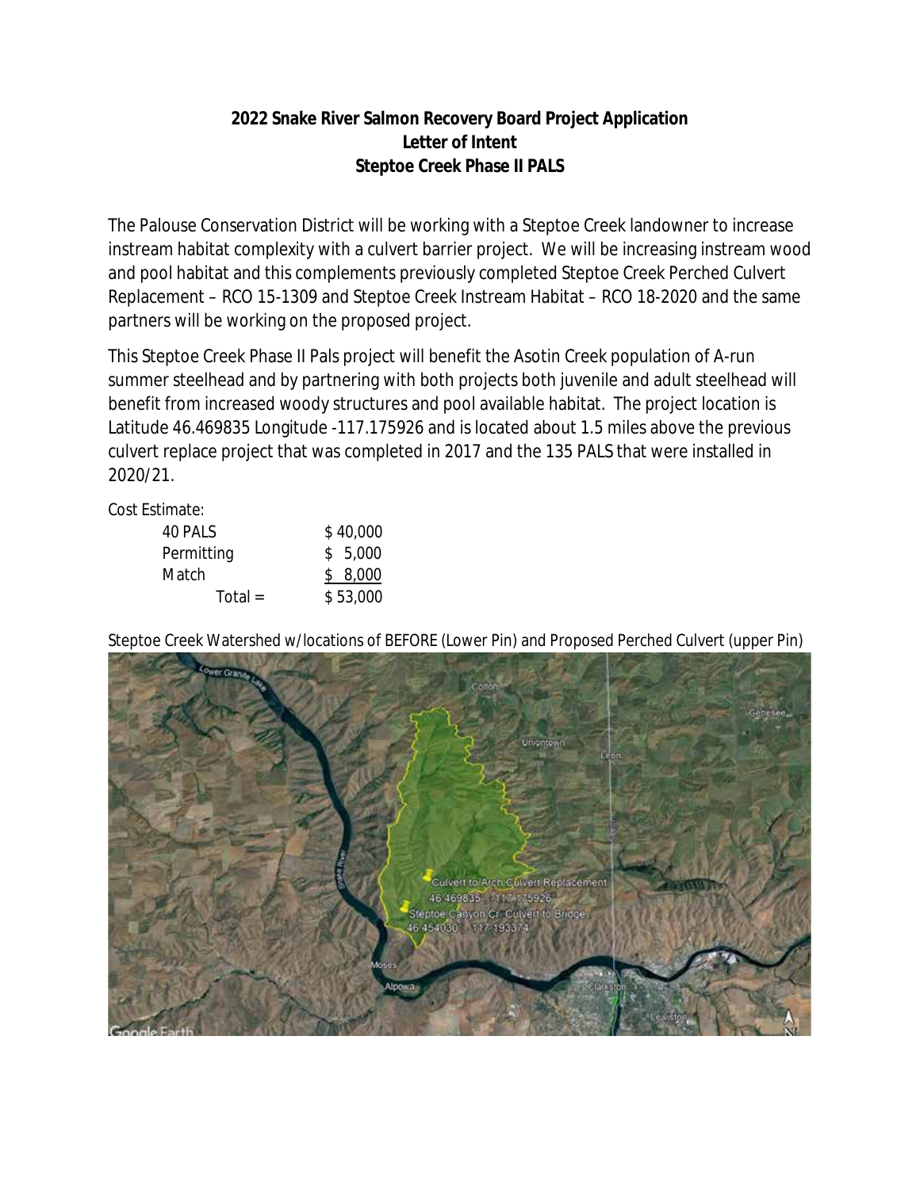## **2022 Snake River Salmon Recovery Board Project Application Letter of Intent Steptoe Creek Phase II PALS**

The Palouse Conservation District will be working with a Steptoe Creek landowner to increase instream habitat complexity with a culvert barrier project. We will be increasing instream wood and pool habitat and this complements previously completed Steptoe Creek Perched Culvert Replacement – RCO 15-1309 and Steptoe Creek Instream Habitat – RCO 18-2020 and the same partners will be working on the proposed project.

This Steptoe Creek Phase II Pals project will benefit the Asotin Creek population of A-run summer steelhead and by partnering with both projects both juvenile and adult steelhead will benefit from increased woody structures and pool available habitat. The project location is Latitude 46.469835 Longitude -117.175926 and is located about 1.5 miles above the previous culvert replace project that was completed in 2017 and the 135 PALS that were installed in 2020/21.

Cost Estimate:

| 40 PALS    | \$40,000 |
|------------|----------|
| Permitting | \$5,000  |
| Match      | \$8,000  |
| Total $=$  | \$53,000 |

Steptoe Creek Watershed w/locations of BEFORE (Lower Pin) and Proposed Perched Culvert (upper Pin)

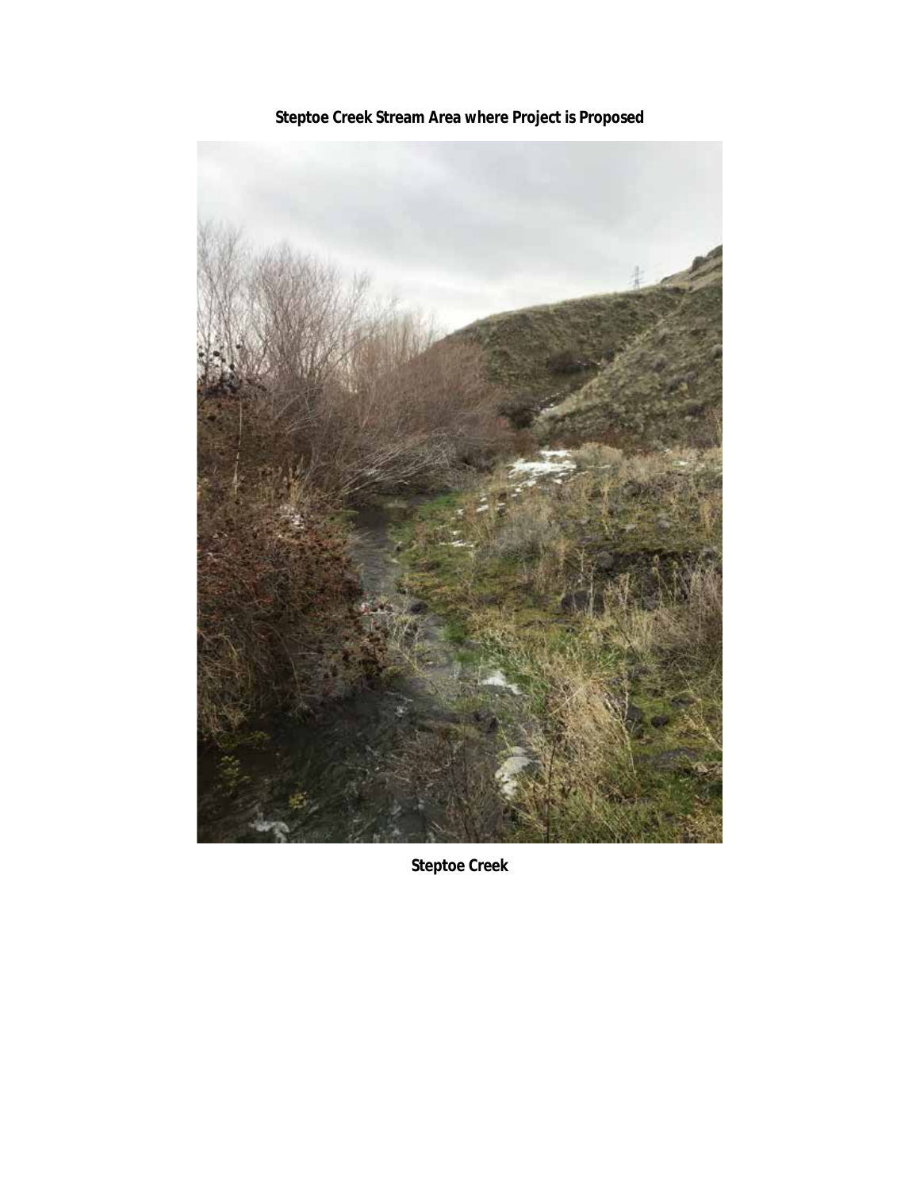

**Steptoe Creek Stream Area where Project is Proposed**

**Steptoe Creek**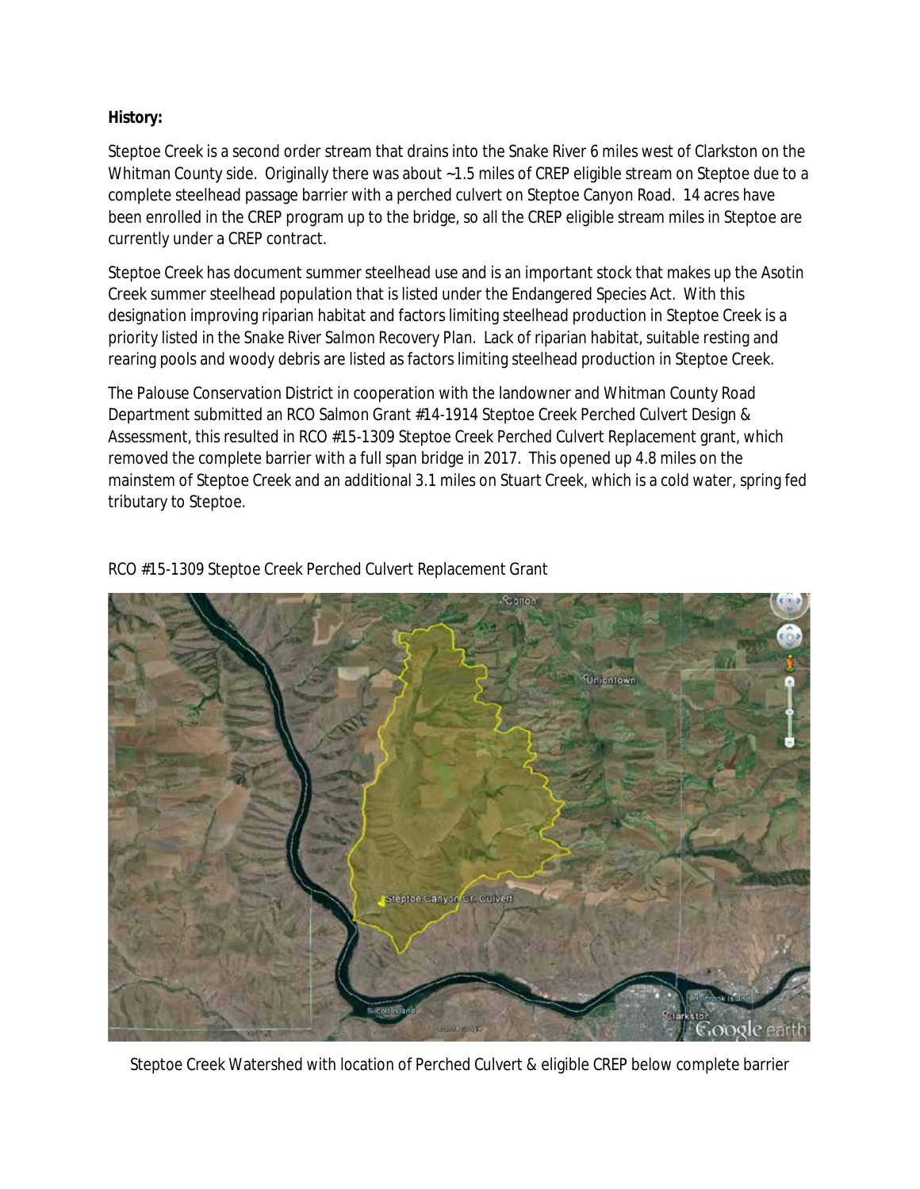## **History:**

Steptoe Creek is a second order stream that drains into the Snake River 6 miles west of Clarkston on the Whitman County side. Originally there was about ~1.5 miles of CREP eligible stream on Steptoe due to a complete steelhead passage barrier with a perched culvert on Steptoe Canyon Road. 14 acres have been enrolled in the CREP program up to the bridge, so all the CREP eligible stream miles in Steptoe are currently under a CREP contract.

Steptoe Creek has document summer steelhead use and is an important stock that makes up the Asotin Creek summer steelhead population that is listed under the Endangered Species Act. With this designation improving riparian habitat and factors limiting steelhead production in Steptoe Creek is a priority listed in the *Snake River Salmon Recovery Plan.* Lack of riparian habitat, suitable resting and rearing pools and woody debris are listed as factors limiting steelhead production in Steptoe Creek.

The Palouse Conservation District in cooperation with the landowner and Whitman County Road Department submitted an RCO Salmon Grant #14-1914 Steptoe Creek Perched Culvert Design & Assessment, this resulted in RCO #15-1309 Steptoe Creek Perched Culvert Replacement grant, which removed the complete barrier with a full span bridge in 2017. This opened up 4.8 miles on the mainstem of Steptoe Creek and an additional 3.1 miles on Stuart Creek, which is a cold water, spring fed tributary to Steptoe.



RCO #15-1309 Steptoe Creek Perched Culvert Replacement Grant

Steptoe Creek Watershed with location of Perched Culvert & eligible CREP below complete barrier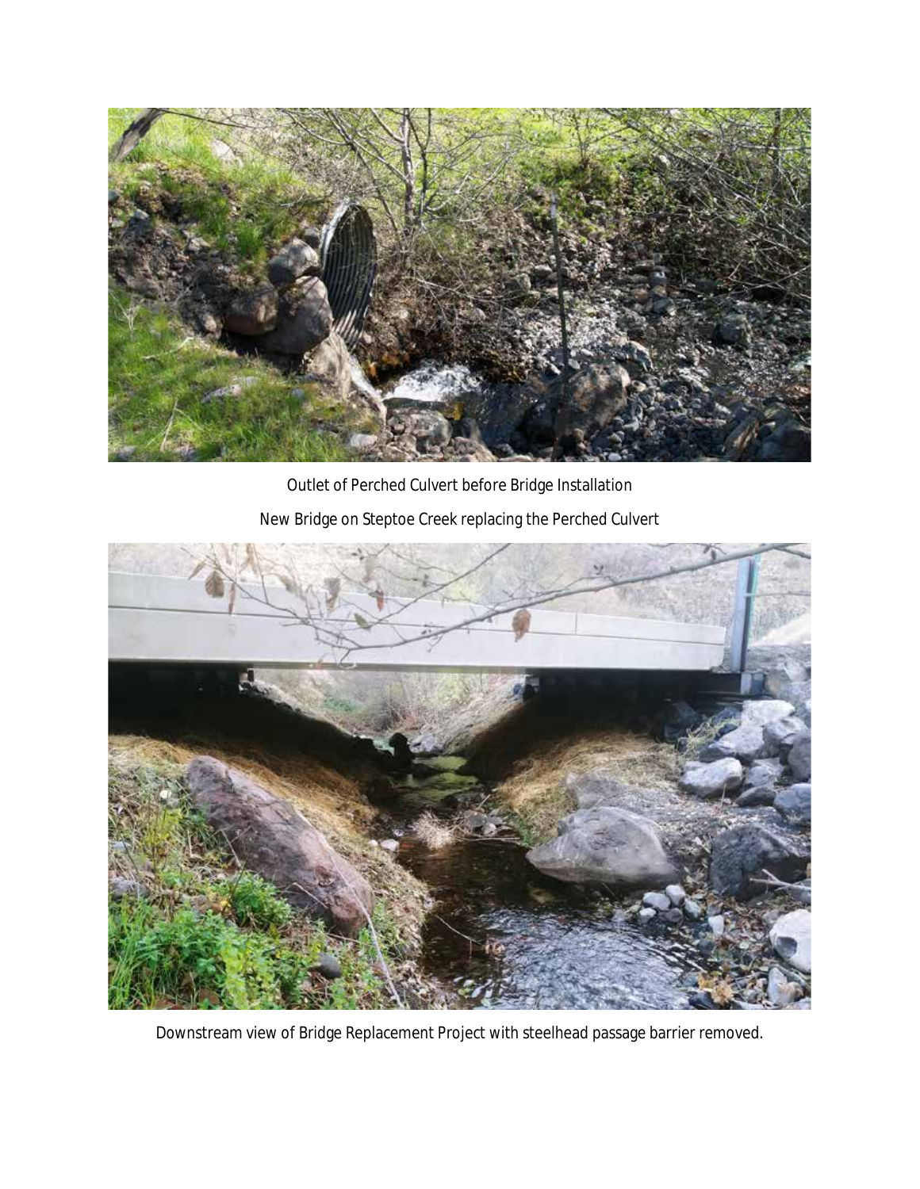

Outlet of Perched Culvert before Bridge Installation New Bridge on Steptoe Creek replacing the Perched Culvert



Downstream view of Bridge Replacement Project with steelhead passage barrier removed.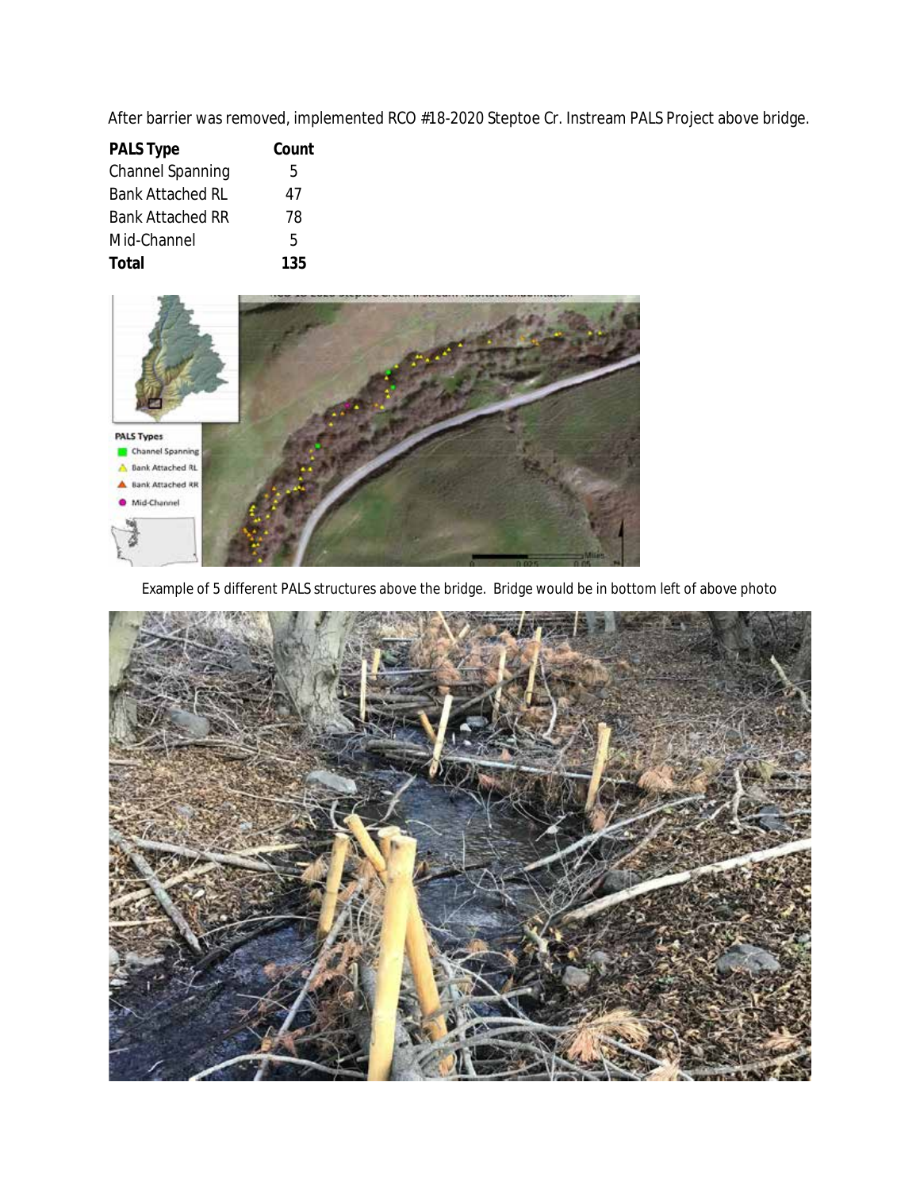After barrier was removed, implemented RCO #18-2020 Steptoe Cr. Instream PALS Project above bridge.

| <b>PALS Type</b>        | Count |
|-------------------------|-------|
| <b>Channel Spanning</b> | 5     |
| <b>Bank Attached RL</b> | 47    |
| <b>Bank Attached RR</b> | 78    |
| Mid-Channel             | 5     |
| Total                   | 135   |



Example of 5 different PALS structures above the bridge. Bridge would be in bottom left of above photo